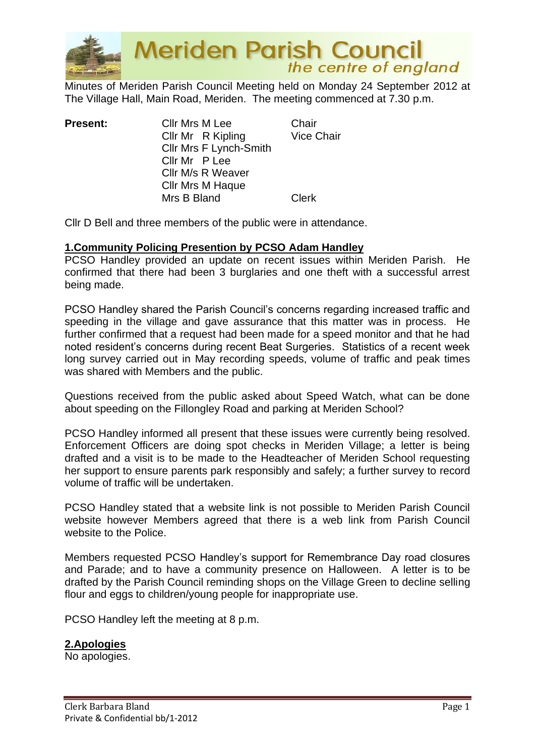

**Meriden Parish Council**<br>the centre of england

Minutes of Meriden Parish Council Meeting held on Monday 24 September 2012 at The Village Hall, Main Road, Meriden. The meeting commenced at 7.30 p.m.

| <b>Present:</b> | Cllr Mrs M Lee<br>Cllr Mr R Kipling<br>Cllr Mrs F Lynch-Smith<br>Cllr Mr P Lee<br>Cllr M/s R Weaver | Chair<br><b>Vice Chair</b> |
|-----------------|-----------------------------------------------------------------------------------------------------|----------------------------|
|                 | <b>CIIr Mrs M Haque</b><br>Mrs B Bland                                                              | <b>Clerk</b>               |

Cllr D Bell and three members of the public were in attendance.

#### **1.Community Policing Presention by PCSO Adam Handley**

PCSO Handley provided an update on recent issues within Meriden Parish. He confirmed that there had been 3 burglaries and one theft with a successful arrest being made.

PCSO Handley shared the Parish Council's concerns regarding increased traffic and speeding in the village and gave assurance that this matter was in process. He further confirmed that a request had been made for a speed monitor and that he had noted resident's concerns during recent Beat Surgeries. Statistics of a recent week long survey carried out in May recording speeds, volume of traffic and peak times was shared with Members and the public.

Questions received from the public asked about Speed Watch, what can be done about speeding on the Fillongley Road and parking at Meriden School?

PCSO Handley informed all present that these issues were currently being resolved. Enforcement Officers are doing spot checks in Meriden Village; a letter is being drafted and a visit is to be made to the Headteacher of Meriden School requesting her support to ensure parents park responsibly and safely; a further survey to record volume of traffic will be undertaken.

PCSO Handley stated that a website link is not possible to Meriden Parish Council website however Members agreed that there is a web link from Parish Council website to the Police.

Members requested PCSO Handley's support for Remembrance Day road closures and Parade; and to have a community presence on Halloween. A letter is to be drafted by the Parish Council reminding shops on the Village Green to decline selling flour and eggs to children/young people for inappropriate use.

PCSO Handley left the meeting at 8 p.m.

#### **2.Apologies**

No apologies.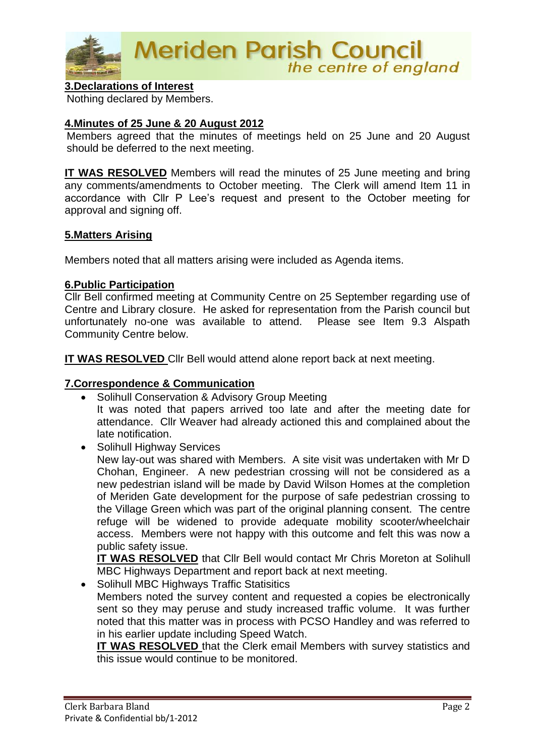

#### **3.Declarations of Interest**

Nothing declared by Members.

#### **4.Minutes of 25 June & 20 August 2012**

Members agreed that the minutes of meetings held on 25 June and 20 August should be deferred to the next meeting.

**IT WAS RESOLVED** Members will read the minutes of 25 June meeting and bring any comments/amendments to October meeting. The Clerk will amend Item 11 in accordance with Cllr P Lee's request and present to the October meeting for approval and signing off.

#### **5.Matters Arising**

Members noted that all matters arising were included as Agenda items.

#### **6.Public Participation**

Cllr Bell confirmed meeting at Community Centre on 25 September regarding use of Centre and Library closure. He asked for representation from the Parish council but unfortunately no-one was available to attend. Please see Item 9.3 Alspath Community Centre below.

**IT WAS RESOLVED** Cllr Bell would attend alone report back at next meeting.

#### **7.Correspondence & Communication**

• Solihull Conservation & Advisory Group Meeting

It was noted that papers arrived too late and after the meeting date for attendance. Cllr Weaver had already actioned this and complained about the late notification.

• Solihull Highway Services New lay-out was shared with Members. A site visit was undertaken with Mr D Chohan, Engineer. A new pedestrian crossing will not be considered as a new pedestrian island will be made by David Wilson Homes at the completion of Meriden Gate development for the purpose of safe pedestrian crossing to the Village Green which was part of the original planning consent. The centre refuge will be widened to provide adequate mobility scooter/wheelchair access. Members were not happy with this outcome and felt this was now a public safety issue.

**IT WAS RESOLVED** that CIIr Bell would contact Mr Chris Moreton at Solihull MBC Highways Department and report back at next meeting.

• Solihull MBC Highways Traffic Statisitics

Members noted the survey content and requested a copies be electronically sent so they may peruse and study increased traffic volume. It was further noted that this matter was in process with PCSO Handley and was referred to in his earlier update including Speed Watch.

**IT WAS RESOLVED** that the Clerk email Members with survey statistics and this issue would continue to be monitored.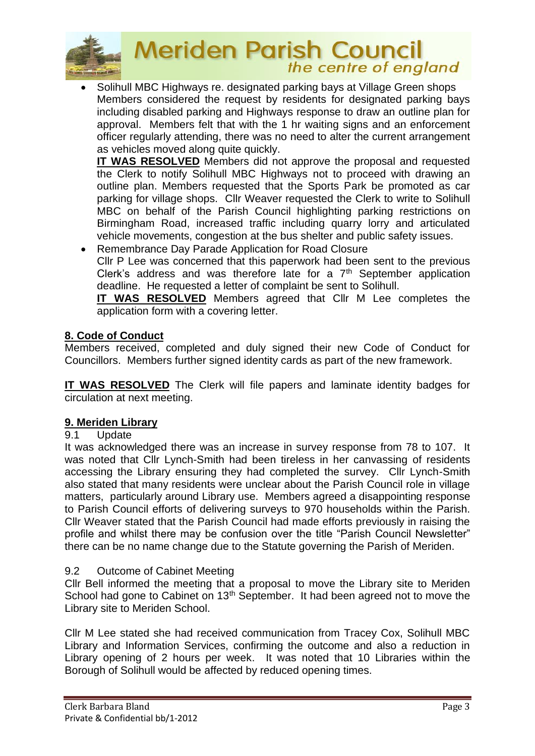

# **Meriden Parish Council**<br>the centre of england

• Solihull MBC Highways re. designated parking bays at Village Green shops Members considered the request by residents for designated parking bays including disabled parking and Highways response to draw an outline plan for approval. Members felt that with the 1 hr waiting signs and an enforcement officer regularly attending, there was no need to alter the current arrangement as vehicles moved along quite quickly.

**IT WAS RESOLVED** Members did not approve the proposal and requested the Clerk to notify Solihull MBC Highways not to proceed with drawing an outline plan. Members requested that the Sports Park be promoted as car parking for village shops. Cllr Weaver requested the Clerk to write to Solihull MBC on behalf of the Parish Council highlighting parking restrictions on Birmingham Road, increased traffic including quarry lorry and articulated vehicle movements, congestion at the bus shelter and public safety issues.

• Remembrance Day Parade Application for Road Closure Cllr P Lee was concerned that this paperwork had been sent to the previous Clerk's address and was therefore late for a  $7<sup>th</sup>$  September application deadline. He requested a letter of complaint be sent to Solihull.

**IT WAS RESOLVED** Members agreed that Cllr M Lee completes the application form with a covering letter.

### **8. Code of Conduct**

Members received, completed and duly signed their new Code of Conduct for Councillors. Members further signed identity cards as part of the new framework.

**IT WAS RESOLVED** The Clerk will file papers and laminate identity badges for circulation at next meeting.

#### **9. Meriden Library**

#### 9.1 Update

It was acknowledged there was an increase in survey response from 78 to 107. It was noted that Cllr Lynch-Smith had been tireless in her canvassing of residents accessing the Library ensuring they had completed the survey. Cllr Lynch-Smith also stated that many residents were unclear about the Parish Council role in village matters, particularly around Library use. Members agreed a disappointing response to Parish Council efforts of delivering surveys to 970 households within the Parish. Cllr Weaver stated that the Parish Council had made efforts previously in raising the profile and whilst there may be confusion over the title "Parish Council Newsletter" there can be no name change due to the Statute governing the Parish of Meriden.

#### 9.2 Outcome of Cabinet Meeting

Cllr Bell informed the meeting that a proposal to move the Library site to Meriden School had gone to Cabinet on 13<sup>th</sup> September. It had been agreed not to move the Library site to Meriden School.

Cllr M Lee stated she had received communication from Tracey Cox, Solihull MBC Library and Information Services, confirming the outcome and also a reduction in Library opening of 2 hours per week. It was noted that 10 Libraries within the Borough of Solihull would be affected by reduced opening times.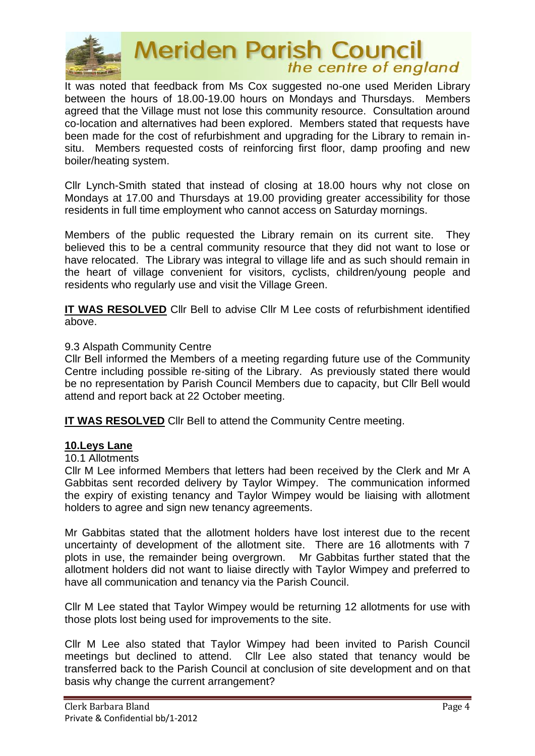

# **Meriden Parish Council** the centre of england

It was noted that feedback from Ms Cox suggested no-one used Meriden Library between the hours of 18.00-19.00 hours on Mondays and Thursdays. Members agreed that the Village must not lose this community resource. Consultation around co-location and alternatives had been explored. Members stated that requests have been made for the cost of refurbishment and upgrading for the Library to remain insitu. Members requested costs of reinforcing first floor, damp proofing and new boiler/heating system.

Cllr Lynch-Smith stated that instead of closing at 18.00 hours why not close on Mondays at 17.00 and Thursdays at 19.00 providing greater accessibility for those residents in full time employment who cannot access on Saturday mornings.

Members of the public requested the Library remain on its current site. They believed this to be a central community resource that they did not want to lose or have relocated. The Library was integral to village life and as such should remain in the heart of village convenient for visitors, cyclists, children/young people and residents who regularly use and visit the Village Green.

**IT WAS RESOLVED** Cllr Bell to advise Cllr M Lee costs of refurbishment identified above.

#### 9.3 Alspath Community Centre

Cllr Bell informed the Members of a meeting regarding future use of the Community Centre including possible re-siting of the Library. As previously stated there would be no representation by Parish Council Members due to capacity, but Cllr Bell would attend and report back at 22 October meeting.

**IT WAS RESOLVED** Cllr Bell to attend the Community Centre meeting.

#### **10.Leys Lane**

#### 10.1 Allotments

Cllr M Lee informed Members that letters had been received by the Clerk and Mr A Gabbitas sent recorded delivery by Taylor Wimpey. The communication informed the expiry of existing tenancy and Taylor Wimpey would be liaising with allotment holders to agree and sign new tenancy agreements.

Mr Gabbitas stated that the allotment holders have lost interest due to the recent uncertainty of development of the allotment site. There are 16 allotments with 7 plots in use, the remainder being overgrown. Mr Gabbitas further stated that the allotment holders did not want to liaise directly with Taylor Wimpey and preferred to have all communication and tenancy via the Parish Council.

Cllr M Lee stated that Taylor Wimpey would be returning 12 allotments for use with those plots lost being used for improvements to the site.

Cllr M Lee also stated that Taylor Wimpey had been invited to Parish Council meetings but declined to attend. Cllr Lee also stated that tenancy would be transferred back to the Parish Council at conclusion of site development and on that basis why change the current arrangement?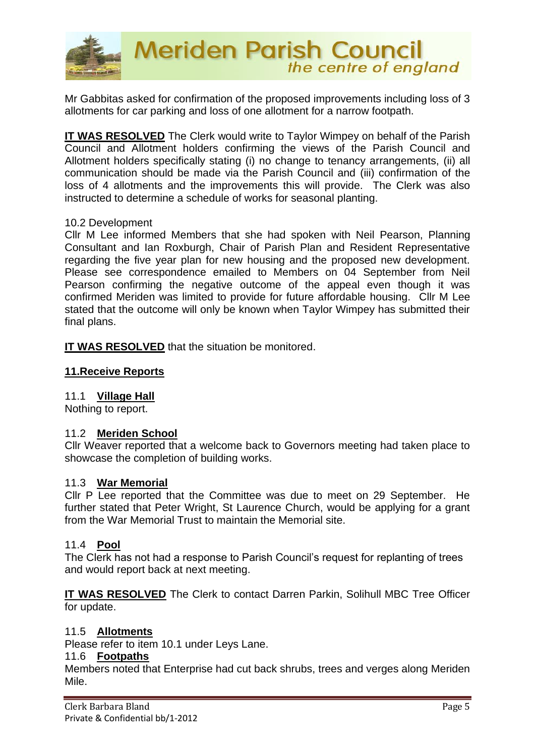

Mr Gabbitas asked for confirmation of the proposed improvements including loss of 3 allotments for car parking and loss of one allotment for a narrow footpath.

**IT WAS RESOLVED** The Clerk would write to Taylor Wimpey on behalf of the Parish Council and Allotment holders confirming the views of the Parish Council and Allotment holders specifically stating (i) no change to tenancy arrangements, (ii) all communication should be made via the Parish Council and (iii) confirmation of the loss of 4 allotments and the improvements this will provide. The Clerk was also instructed to determine a schedule of works for seasonal planting.

#### 10.2 Development

Cllr M Lee informed Members that she had spoken with Neil Pearson, Planning Consultant and Ian Roxburgh, Chair of Parish Plan and Resident Representative regarding the five year plan for new housing and the proposed new development. Please see correspondence emailed to Members on 04 September from Neil Pearson confirming the negative outcome of the appeal even though it was confirmed Meriden was limited to provide for future affordable housing. Cllr M Lee stated that the outcome will only be known when Taylor Wimpey has submitted their final plans.

**IT WAS RESOLVED** that the situation be monitored.

#### **11.Receive Reports**

#### 11.1 **Village Hall**

Nothing to report.

#### 11.2 **Meriden School**

Cllr Weaver reported that a welcome back to Governors meeting had taken place to showcase the completion of building works.

#### 11.3 **War Memorial**

Cllr P Lee reported that the Committee was due to meet on 29 September. He further stated that Peter Wright, St Laurence Church, would be applying for a grant from the War Memorial Trust to maintain the Memorial site.

#### 11.4 **Pool**

The Clerk has not had a response to Parish Council's request for replanting of trees and would report back at next meeting.

**IT WAS RESOLVED** The Clerk to contact Darren Parkin, Solihull MBC Tree Officer for update.

#### 11.5 **Allotments**

Please refer to item 10.1 under Leys Lane.

#### 11.6 **Footpaths**

Members noted that Enterprise had cut back shrubs, trees and verges along Meriden Mile.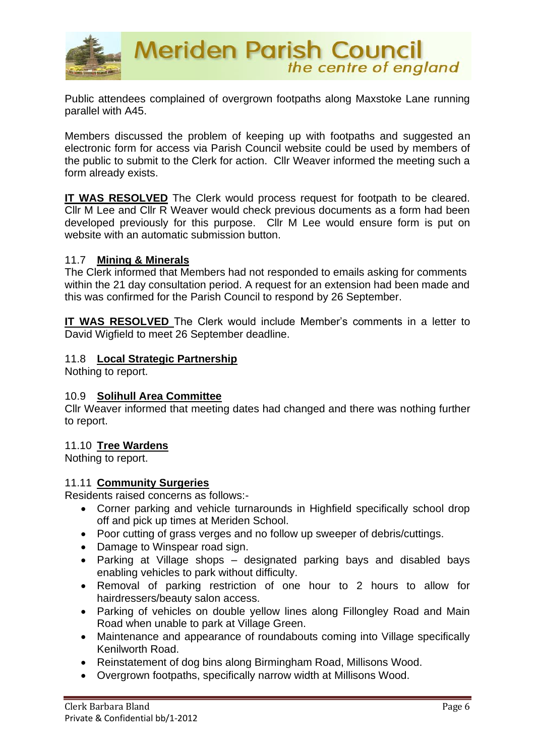

Public attendees complained of overgrown footpaths along Maxstoke Lane running parallel with A45.

Members discussed the problem of keeping up with footpaths and suggested an electronic form for access via Parish Council website could be used by members of the public to submit to the Clerk for action. Cllr Weaver informed the meeting such a form already exists.

**IT WAS RESOLVED** The Clerk would process request for footpath to be cleared. Cllr M Lee and Cllr R Weaver would check previous documents as a form had been developed previously for this purpose. Cllr M Lee would ensure form is put on website with an automatic submission button.

#### 11.7 **Mining & Minerals**

The Clerk informed that Members had not responded to emails asking for comments within the 21 day consultation period. A request for an extension had been made and this was confirmed for the Parish Council to respond by 26 September.

**IT WAS RESOLVED** The Clerk would include Member's comments in a letter to David Wigfield to meet 26 September deadline.

#### 11.8 **Local Strategic Partnership**

Nothing to report.

#### 10.9 **Solihull Area Committee**

Cllr Weaver informed that meeting dates had changed and there was nothing further to report.

#### 11.10 **Tree Wardens**

Nothing to report.

#### 11.11 **Community Surgeries**

Residents raised concerns as follows:-

- Corner parking and vehicle turnarounds in Highfield specifically school drop off and pick up times at Meriden School.
- Poor cutting of grass verges and no follow up sweeper of debris/cuttings.
- Damage to Winspear road sign.
- Parking at Village shops designated parking bays and disabled bays enabling vehicles to park without difficulty.
- Removal of parking restriction of one hour to 2 hours to allow for hairdressers/beauty salon access.
- Parking of vehicles on double yellow lines along Fillongley Road and Main Road when unable to park at Village Green.
- Maintenance and appearance of roundabouts coming into Village specifically Kenilworth Road.
- Reinstatement of dog bins along Birmingham Road, Millisons Wood.
- Overgrown footpaths, specifically narrow width at Millisons Wood.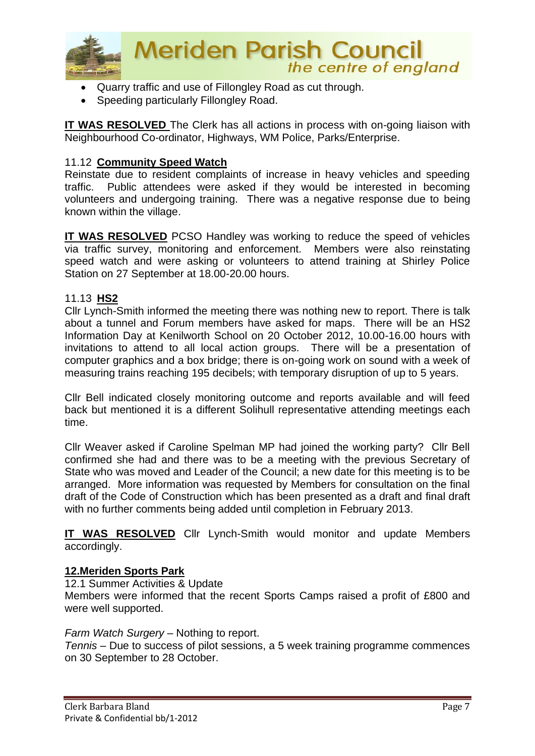

- Quarry traffic and use of Fillongley Road as cut through.
- Speeding particularly Fillongley Road.

**IT WAS RESOLVED** The Clerk has all actions in process with on-going liaison with Neighbourhood Co-ordinator, Highways, WM Police, Parks/Enterprise.

#### 11.12 **Community Speed Watch**

Reinstate due to resident complaints of increase in heavy vehicles and speeding traffic. Public attendees were asked if they would be interested in becoming volunteers and undergoing training. There was a negative response due to being known within the village.

**IT WAS RESOLVED** PCSO Handley was working to reduce the speed of vehicles via traffic survey, monitoring and enforcement. Members were also reinstating speed watch and were asking or volunteers to attend training at Shirley Police Station on 27 September at 18.00-20.00 hours.

#### 11.13 **HS2**

Cllr Lynch-Smith informed the meeting there was nothing new to report. There is talk about a tunnel and Forum members have asked for maps. There will be an HS2 Information Day at Kenilworth School on 20 October 2012, 10.00-16.00 hours with invitations to attend to all local action groups. There will be a presentation of computer graphics and a box bridge; there is on-going work on sound with a week of measuring trains reaching 195 decibels; with temporary disruption of up to 5 years.

Cllr Bell indicated closely monitoring outcome and reports available and will feed back but mentioned it is a different Solihull representative attending meetings each time.

Cllr Weaver asked if Caroline Spelman MP had joined the working party? Cllr Bell confirmed she had and there was to be a meeting with the previous Secretary of State who was moved and Leader of the Council; a new date for this meeting is to be arranged. More information was requested by Members for consultation on the final draft of the Code of Construction which has been presented as a draft and final draft with no further comments being added until completion in February 2013.

**IT WAS RESOLVED** Cllr Lynch-Smith would monitor and update Members accordingly.

#### **12.Meriden Sports Park**

12.1 Summer Activities & Update

Members were informed that the recent Sports Camps raised a profit of £800 and were well supported.

#### *Farm Watch Surgery* – Nothing to report.

*Tennis* – Due to success of pilot sessions, a 5 week training programme commences on 30 September to 28 October.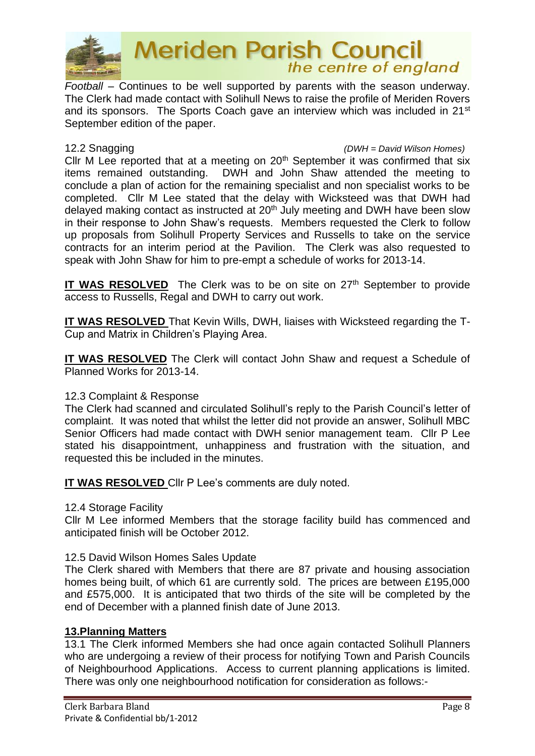

## **Meriden Parish Council** the centre of england

*Football* – Continues to be well supported by parents with the season underway. The Clerk had made contact with Solihull News to raise the profile of Meriden Rovers and its sponsors. The Sports Coach gave an interview which was included in 21<sup>st</sup> September edition of the paper.

12.2 Snagging *(DWH = David Wilson Homes)*

Cllr M Lee reported that at a meeting on  $20<sup>th</sup>$  September it was confirmed that six items remained outstanding. DWH and John Shaw attended the meeting to conclude a plan of action for the remaining specialist and non specialist works to be completed. Cllr M Lee stated that the delay with Wicksteed was that DWH had delayed making contact as instructed at 20<sup>th</sup> July meeting and DWH have been slow in their response to John Shaw's requests. Members requested the Clerk to follow up proposals from Solihull Property Services and Russells to take on the service contracts for an interim period at the Pavilion. The Clerk was also requested to speak with John Shaw for him to pre-empt a schedule of works for 2013-14.

**IT WAS RESOLVED** The Clerk was to be on site on 27<sup>th</sup> September to provide access to Russells, Regal and DWH to carry out work.

**IT WAS RESOLVED** That Kevin Wills, DWH, liaises with Wicksteed regarding the T-Cup and Matrix in Children's Playing Area.

**IT WAS RESOLVED** The Clerk will contact John Shaw and request a Schedule of Planned Works for 2013-14.

#### 12.3 Complaint & Response

The Clerk had scanned and circulated Solihull's reply to the Parish Council's letter of complaint. It was noted that whilst the letter did not provide an answer, Solihull MBC Senior Officers had made contact with DWH senior management team. Cllr P Lee stated his disappointment, unhappiness and frustration with the situation, and requested this be included in the minutes.

**IT WAS RESOLVED** Cllr P Lee's comments are duly noted.

#### 12.4 Storage Facility

Cllr M Lee informed Members that the storage facility build has commenced and anticipated finish will be October 2012.

#### 12.5 David Wilson Homes Sales Update

The Clerk shared with Members that there are 87 private and housing association homes being built, of which 61 are currently sold. The prices are between £195,000 and £575,000. It is anticipated that two thirds of the site will be completed by the end of December with a planned finish date of June 2013.

#### **13.Planning Matters**

13.1 The Clerk informed Members she had once again contacted Solihull Planners who are undergoing a review of their process for notifying Town and Parish Councils of Neighbourhood Applications. Access to current planning applications is limited. There was only one neighbourhood notification for consideration as follows:-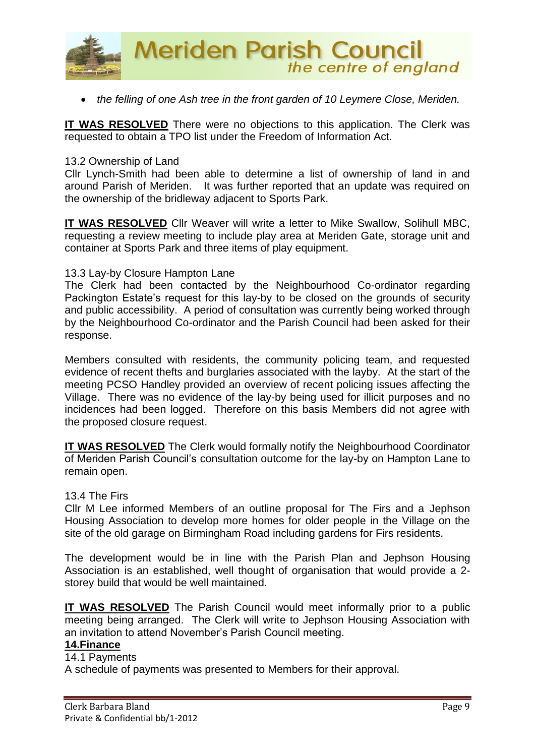

• *the felling of one Ash tree in the front garden of 10 Leymere Close, Meriden.*

**IT WAS RESOLVED** There were no objections to this application. The Clerk was requested to obtain a TPO list under the Freedom of Information Act.

#### 13.2 Ownership of Land

Cllr Lynch-Smith had been able to determine a list of ownership of land in and around Parish of Meriden. It was further reported that an update was required on the ownership of the bridleway adjacent to Sports Park.

**IT WAS RESOLVED** Cllr Weaver will write a letter to Mike Swallow, Solihull MBC, requesting a review meeting to include play area at Meriden Gate, storage unit and container at Sports Park and three items of play equipment.

#### 13.3 Lay-by Closure Hampton Lane

The Clerk had been contacted by the Neighbourhood Co-ordinator regarding Packington Estate's request for this lay-by to be closed on the grounds of security and public accessibility. A period of consultation was currently being worked through by the Neighbourhood Co-ordinator and the Parish Council had been asked for their response.

Members consulted with residents, the community policing team, and requested evidence of recent thefts and burglaries associated with the layby. At the start of the meeting PCSO Handley provided an overview of recent policing issues affecting the Village. There was no evidence of the lay-by being used for illicit purposes and no incidences had been logged. Therefore on this basis Members did not agree with the proposed closure request.

**IT WAS RESOLVED** The Clerk would formally notify the Neighbourhood Coordinator of Meriden Parish Council's consultation outcome for the lay-by on Hampton Lane to remain open.

#### 13.4 The Firs

Cllr M Lee informed Members of an outline proposal for The Firs and a Jephson Housing Association to develop more homes for older people in the Village on the site of the old garage on Birmingham Road including gardens for Firs residents.

The development would be in line with the Parish Plan and Jephson Housing Association is an established, well thought of organisation that would provide a 2 storey build that would be well maintained.

**IT WAS RESOLVED** The Parish Council would meet informally prior to a public meeting being arranged. The Clerk will write to Jephson Housing Association with an invitation to attend November's Parish Council meeting.

#### **14.Finance**

#### 14.1 Payments

A schedule of payments was presented to Members for their approval.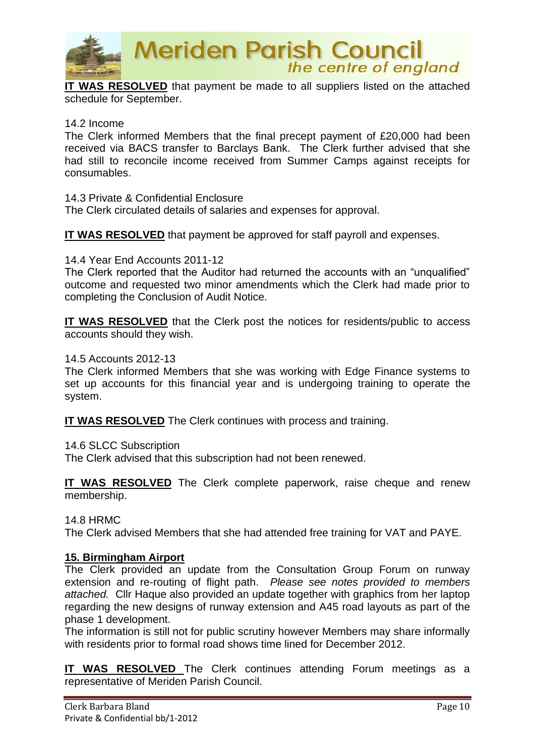

**Meriden Parish Council** the centre of england

**IT WAS RESOLVED** that payment be made to all suppliers listed on the attached schedule for September.

#### 14.2 Income

The Clerk informed Members that the final precept payment of £20,000 had been received via BACS transfer to Barclays Bank. The Clerk further advised that she had still to reconcile income received from Summer Camps against receipts for consumables.

#### 14.3 Private & Confidential Enclosure

The Clerk circulated details of salaries and expenses for approval.

**IT WAS RESOLVED** that payment be approved for staff payroll and expenses.

#### 14.4 Year End Accounts 2011-12

The Clerk reported that the Auditor had returned the accounts with an "unqualified" outcome and requested two minor amendments which the Clerk had made prior to completing the Conclusion of Audit Notice.

**IT WAS RESOLVED** that the Clerk post the notices for residents/public to access accounts should they wish.

#### 14.5 Accounts 2012-13

The Clerk informed Members that she was working with Edge Finance systems to set up accounts for this financial year and is undergoing training to operate the system.

**IT WAS RESOLVED** The Clerk continues with process and training.

14.6 SLCC Subscription

The Clerk advised that this subscription had not been renewed.

**IT WAS RESOLVED** The Clerk complete paperwork, raise cheque and renew membership.

14.8 HRMC

The Clerk advised Members that she had attended free training for VAT and PAYE.

#### **15. Birmingham Airport**

The Clerk provided an update from the Consultation Group Forum on runway extension and re-routing of flight path. *Please see notes provided to members attached.* Cllr Haque also provided an update together with graphics from her laptop regarding the new designs of runway extension and A45 road layouts as part of the phase 1 development.

The information is still not for public scrutiny however Members may share informally with residents prior to formal road shows time lined for December 2012.

**IT WAS RESOLVED** The Clerk continues attending Forum meetings as a representative of Meriden Parish Council.